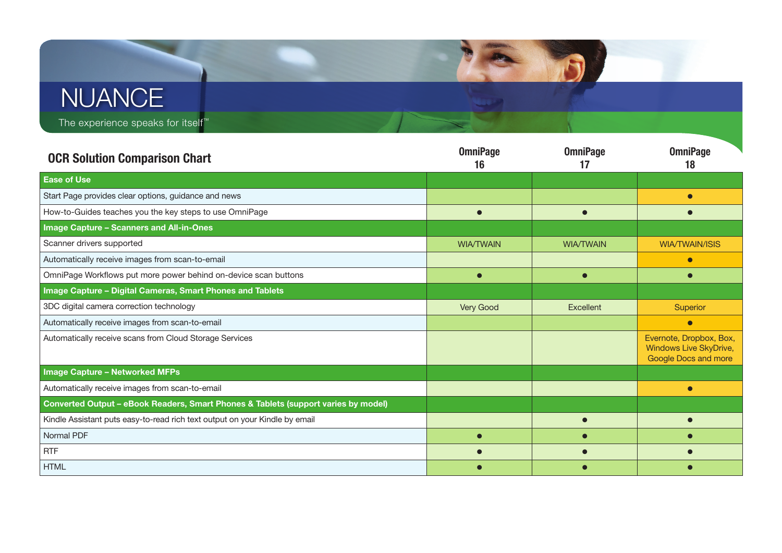## **AND NUANCE**

The experience speaks for itself™

| <b>OCR Solution Comparison Chart</b>                                               | <b>OmniPage</b><br>16 | <b>OmniPage</b><br>17 | <b>OmniPage</b><br>18                                                            |
|------------------------------------------------------------------------------------|-----------------------|-----------------------|----------------------------------------------------------------------------------|
| <b>Ease of Use</b>                                                                 |                       |                       |                                                                                  |
| Start Page provides clear options, guidance and news                               |                       |                       |                                                                                  |
| How-to-Guides teaches you the key steps to use OmniPage                            |                       |                       |                                                                                  |
| <b>Image Capture - Scanners and All-in-Ones</b>                                    |                       |                       |                                                                                  |
| Scanner drivers supported                                                          | <b>WIA/TWAIN</b>      | <b>WIA/TWAIN</b>      | <b>WIA/TWAIN/ISIS</b>                                                            |
| Automatically receive images from scan-to-email                                    |                       |                       | $\bullet$                                                                        |
| OmniPage Workflows put more power behind on-device scan buttons                    |                       |                       |                                                                                  |
| <b>Image Capture - Digital Cameras, Smart Phones and Tablets</b>                   |                       |                       |                                                                                  |
| 3DC digital camera correction technology                                           | Very Good             | <b>Excellent</b>      | Superior                                                                         |
| Automatically receive images from scan-to-email                                    |                       |                       | $\bullet$                                                                        |
| Automatically receive scans from Cloud Storage Services                            |                       |                       | Evernote, Dropbox, Box,<br><b>Windows Live SkyDrive,</b><br>Google Docs and more |
| <b>Image Capture - Networked MFPs</b>                                              |                       |                       |                                                                                  |
| Automatically receive images from scan-to-email                                    |                       |                       |                                                                                  |
| Converted Output - eBook Readers, Smart Phones & Tablets (support varies by model) |                       |                       |                                                                                  |
| Kindle Assistant puts easy-to-read rich text output on your Kindle by email        |                       |                       |                                                                                  |
| Normal PDF                                                                         |                       |                       |                                                                                  |
| <b>RTF</b>                                                                         |                       |                       |                                                                                  |
| <b>HTML</b>                                                                        |                       |                       |                                                                                  |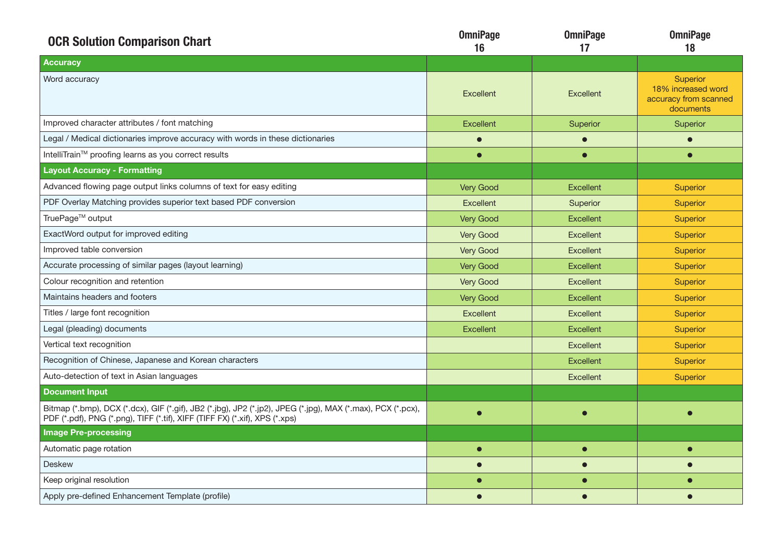| <b>OCR Solution Comparison Chart</b>                                                                                                                                                       | <b>OmniPage</b><br>16 | <b>OmniPage</b><br>17 | <b>OmniPage</b><br>18                                                       |
|--------------------------------------------------------------------------------------------------------------------------------------------------------------------------------------------|-----------------------|-----------------------|-----------------------------------------------------------------------------|
| <b>Accuracy</b>                                                                                                                                                                            |                       |                       |                                                                             |
| Word accuracy                                                                                                                                                                              | <b>Excellent</b>      | <b>Excellent</b>      | <b>Superior</b><br>18% increased word<br>accuracy from scanned<br>documents |
| Improved character attributes / font matching                                                                                                                                              | <b>Excellent</b>      | Superior              | Superior                                                                    |
| Legal / Medical dictionaries improve accuracy with words in these dictionaries                                                                                                             | $\bullet$             |                       | $\bullet$                                                                   |
| IntelliTrain™ proofing learns as you correct results                                                                                                                                       | $\bullet$             | $\bullet$             | $\bullet$                                                                   |
| <b>Layout Accuracy - Formatting</b>                                                                                                                                                        |                       |                       |                                                                             |
| Advanced flowing page output links columns of text for easy editing                                                                                                                        | Very Good             | <b>Excellent</b>      | <b>Superior</b>                                                             |
| PDF Overlay Matching provides superior text based PDF conversion                                                                                                                           | Excellent             | Superior              | <b>Superior</b>                                                             |
| TruePage™ output                                                                                                                                                                           | Very Good             | <b>Excellent</b>      | <b>Superior</b>                                                             |
| ExactWord output for improved editing                                                                                                                                                      | Very Good             | <b>Excellent</b>      | <b>Superior</b>                                                             |
| Improved table conversion                                                                                                                                                                  | Very Good             | <b>Excellent</b>      | <b>Superior</b>                                                             |
| Accurate processing of similar pages (layout learning)                                                                                                                                     | <b>Very Good</b>      | <b>Excellent</b>      | <b>Superior</b>                                                             |
| Colour recognition and retention                                                                                                                                                           | Very Good             | <b>Excellent</b>      | <b>Superior</b>                                                             |
| Maintains headers and footers                                                                                                                                                              | <b>Very Good</b>      | <b>Excellent</b>      | <b>Superior</b>                                                             |
| Titles / large font recognition                                                                                                                                                            | Excellent             | <b>Excellent</b>      | <b>Superior</b>                                                             |
| Legal (pleading) documents                                                                                                                                                                 | <b>Excellent</b>      | <b>Excellent</b>      | <b>Superior</b>                                                             |
| Vertical text recognition                                                                                                                                                                  |                       | <b>Excellent</b>      | <b>Superior</b>                                                             |
| Recognition of Chinese, Japanese and Korean characters                                                                                                                                     |                       | <b>Excellent</b>      | Superior                                                                    |
| Auto-detection of text in Asian languages                                                                                                                                                  |                       | <b>Excellent</b>      | Superior                                                                    |
| <b>Document Input</b>                                                                                                                                                                      |                       |                       |                                                                             |
| Bitmap (*.bmp), DCX (*.dcx), GIF (*.gif), JB2 (*.jbg), JP2 (*.jp2), JPEG (*.jpg), MAX (*.max), PCX (*.pcx),<br>PDF (*.pdf), PNG (*.png), TIFF (*.tif), XIFF (TIFF FX) (*.xif), XPS (*.xps) | $\bullet$             | $\bullet$             |                                                                             |
| <b>Image Pre-processing</b>                                                                                                                                                                |                       |                       |                                                                             |
| Automatic page rotation                                                                                                                                                                    | $\bullet$             | $\bullet$             | $\bullet$                                                                   |
| <b>Deskew</b>                                                                                                                                                                              |                       | $\blacksquare$        | $\bullet$                                                                   |
| Keep original resolution                                                                                                                                                                   |                       |                       |                                                                             |
| Apply pre-defined Enhancement Template (profile)                                                                                                                                           | $\bullet$             | $\bullet$             | $\bullet$                                                                   |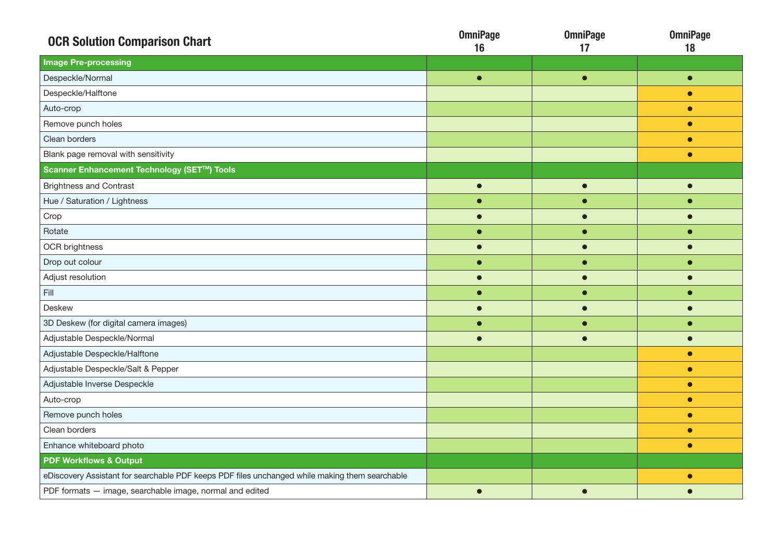| <b>OCR Solution Comparison Chart</b>                                                           | <b>OmniPage</b><br>16 | <b>OmniPage</b><br>17 | <b>OmniPage</b><br>18 |
|------------------------------------------------------------------------------------------------|-----------------------|-----------------------|-----------------------|
| <b>Image Pre-processing</b>                                                                    |                       |                       |                       |
| Despeckle/Normal                                                                               | $\bullet$             | $\bullet$             | $\bullet$             |
| Despeckle/Halftone                                                                             |                       |                       | $\bullet$             |
| Auto-crop                                                                                      |                       |                       | $\bullet$             |
| Remove punch holes                                                                             |                       |                       | $\bullet$             |
| Clean borders                                                                                  |                       |                       | $\bullet$             |
| Blank page removal with sensitivity                                                            |                       |                       | $\bullet$             |
| Scanner Enhancement Technology (SET™) Tools                                                    |                       |                       |                       |
| <b>Brightness and Contrast</b>                                                                 | $\bullet$             | $\bullet$             | $\bullet$             |
| Hue / Saturation / Lightness                                                                   |                       |                       | $\bullet$             |
| Crop                                                                                           |                       |                       |                       |
| Rotate                                                                                         | $\bullet$             | $\bullet$             | $\bullet$             |
| OCR brightness                                                                                 |                       |                       |                       |
| Drop out colour                                                                                |                       |                       |                       |
| Adjust resolution                                                                              |                       |                       |                       |
| Fill                                                                                           |                       | $\bullet$             |                       |
| <b>Deskew</b>                                                                                  | $\bullet$             | $\bullet$             |                       |
| 3D Deskew (for digital camera images)                                                          |                       |                       |                       |
| Adjustable Despeckle/Normal                                                                    |                       |                       |                       |
| Adjustable Despeckle/Halftone                                                                  |                       |                       | $\bullet$             |
| Adjustable Despeckle/Salt & Pepper                                                             |                       |                       | $\bullet$             |
| Adjustable Inverse Despeckle                                                                   |                       |                       | $\bullet$             |
| Auto-crop                                                                                      |                       |                       | $\bullet$             |
| Remove punch holes                                                                             |                       |                       | $\bullet$             |
| Clean borders                                                                                  |                       |                       | $\bullet$             |
| Enhance whiteboard photo                                                                       |                       |                       | $\bullet$             |
| <b>PDF Workflows &amp; Output</b>                                                              |                       |                       |                       |
| eDiscovery Assistant for searchable PDF keeps PDF files unchanged while making them searchable |                       |                       | $\bullet$             |
| PDF formats - image, searchable image, normal and edited                                       | $\bullet$             | $\bullet$             |                       |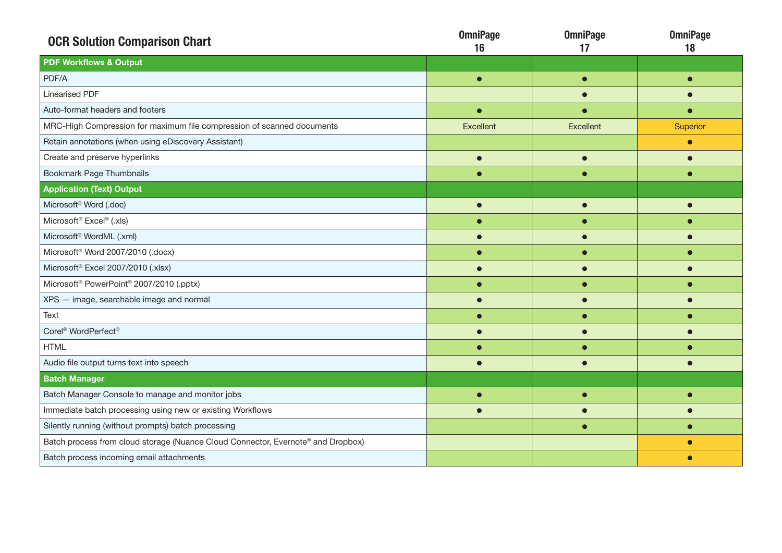| <b>OCR Solution Comparison Chart</b>                                             | <b>OmniPage</b><br>16 | <b>OmniPage</b><br>17 | <b>OmniPage</b><br>18 |
|----------------------------------------------------------------------------------|-----------------------|-----------------------|-----------------------|
| <b>PDF Workflows &amp; Output</b>                                                |                       |                       |                       |
| PDF/A                                                                            | $\bullet$             | ┍                     |                       |
| <b>Linearised PDF</b>                                                            |                       |                       |                       |
| Auto-format headers and footers                                                  |                       |                       |                       |
| MRC-High Compression for maximum file compression of scanned documents           | Excellent             | Excellent             | Superior              |
| Retain annotations (when using eDiscovery Assistant)                             |                       |                       |                       |
| Create and preserve hyperlinks                                                   | О                     |                       |                       |
| <b>Bookmark Page Thumbnails</b>                                                  |                       |                       |                       |
| <b>Application (Text) Output</b>                                                 |                       |                       |                       |
| Microsoft <sup>®</sup> Word (.doc)                                               | C                     |                       |                       |
| Microsoft <sup>®</sup> Excel® (.xls)                                             |                       |                       |                       |
| Microsoft <sup>®</sup> WordML (.xml)                                             |                       |                       |                       |
| Microsoft <sup>®</sup> Word 2007/2010 (.docx)                                    |                       |                       |                       |
| Microsoft <sup>®</sup> Excel 2007/2010 (.xlsx)                                   |                       |                       |                       |
| Microsoft <sup>®</sup> PowerPoint <sup>®</sup> 2007/2010 (.pptx)                 |                       |                       |                       |
| XPS - image, searchable image and normal                                         | $\bullet$             |                       |                       |
| Text                                                                             |                       |                       |                       |
| Corel <sup>®</sup> WordPerfect <sup>®</sup>                                      |                       |                       |                       |
| <b>HTML</b>                                                                      |                       |                       |                       |
| Audio file output turns text into speech                                         |                       |                       |                       |
| <b>Batch Manager</b>                                                             |                       |                       |                       |
| Batch Manager Console to manage and monitor jobs                                 | $\bullet$             | ┍                     |                       |
| Immediate batch processing using new or existing Workflows                       |                       |                       |                       |
| Silently running (without prompts) batch processing                              |                       |                       |                       |
| Batch process from cloud storage (Nuance Cloud Connector, Evernote® and Dropbox) |                       |                       |                       |
| Batch process incoming email attachments                                         |                       |                       |                       |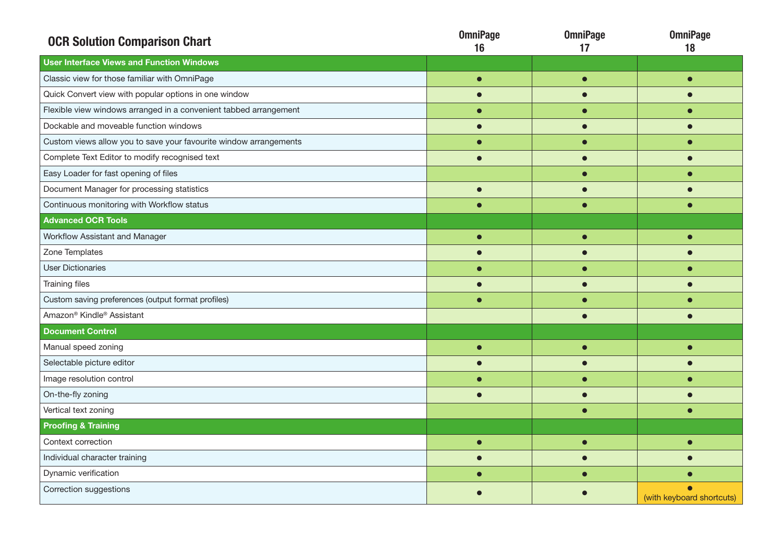| <b>OCR Solution Comparison Chart</b>                              | <b>OmniPage</b><br>16 | <b>OmniPage</b><br>17 | <b>OmniPage</b><br>18     |
|-------------------------------------------------------------------|-----------------------|-----------------------|---------------------------|
| <b>User Interface Views and Function Windows</b>                  |                       |                       |                           |
| Classic view for those familiar with OmniPage                     | $\bullet$             | $\bullet$             |                           |
| Quick Convert view with popular options in one window             |                       |                       |                           |
| Flexible view windows arranged in a convenient tabbed arrangement |                       |                       |                           |
| Dockable and moveable function windows                            |                       |                       |                           |
| Custom views allow you to save your favourite window arrangements |                       |                       |                           |
| Complete Text Editor to modify recognised text                    | $\bullet$             |                       |                           |
| Easy Loader for fast opening of files                             |                       |                       |                           |
| Document Manager for processing statistics                        | $\bullet$             |                       |                           |
| Continuous monitoring with Workflow status                        | $\bullet$             |                       |                           |
| <b>Advanced OCR Tools</b>                                         |                       |                       |                           |
| Workflow Assistant and Manager                                    | Г                     |                       |                           |
| Zone Templates                                                    |                       |                       |                           |
| <b>User Dictionaries</b>                                          |                       |                       |                           |
| <b>Training files</b>                                             | $\bullet$             | $\bullet$             |                           |
| Custom saving preferences (output format profiles)                | $\bullet$             |                       |                           |
| Amazon <sup>®</sup> Kindle <sup>®</sup> Assistant                 |                       |                       |                           |
| <b>Document Control</b>                                           |                       |                       |                           |
| Manual speed zoning                                               | O                     | ◠                     |                           |
| Selectable picture editor                                         |                       |                       |                           |
| Image resolution control                                          |                       |                       |                           |
| On-the-fly zoning                                                 |                       |                       |                           |
| Vertical text zoning                                              |                       |                       |                           |
| <b>Proofing &amp; Training</b>                                    |                       |                       |                           |
| Context correction                                                | O                     |                       |                           |
| Individual character training                                     | $\bullet$             |                       |                           |
| Dynamic verification                                              |                       |                       |                           |
| Correction suggestions                                            |                       |                       | (with keyboard shortcuts) |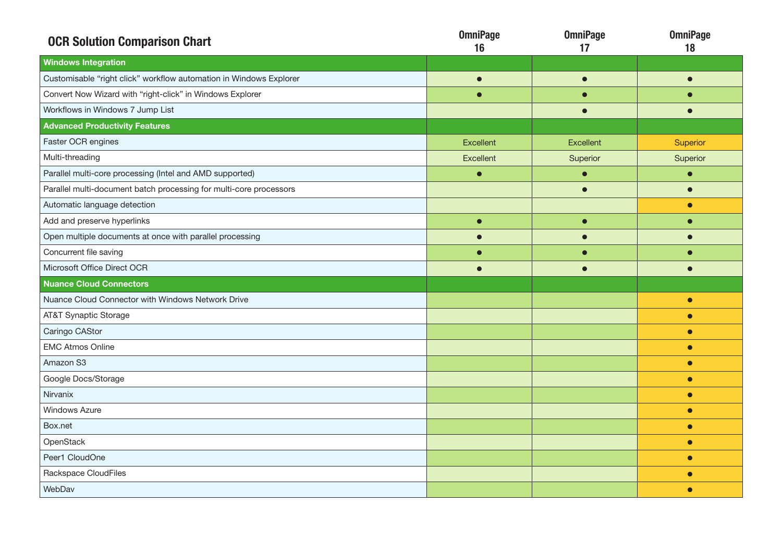| <b>OCR Solution Comparison Chart</b>                               | <b>OmniPage</b><br>16 | <b>OmniPage</b><br>17 | <b>OmniPage</b><br>18 |
|--------------------------------------------------------------------|-----------------------|-----------------------|-----------------------|
| <b>Windows Integration</b>                                         |                       |                       |                       |
| Customisable "right click" workflow automation in Windows Explorer | $\bullet$             | $\bullet$             | $\bullet$             |
| Convert Now Wizard with "right-click" in Windows Explorer          | $\bullet$             |                       | O                     |
| Workflows in Windows 7 Jump List                                   |                       | $\bullet$             | $\bullet$             |
| <b>Advanced Productivity Features</b>                              |                       |                       |                       |
| Faster OCR engines                                                 | <b>Excellent</b>      | Excellent             | Superior              |
| Multi-threading                                                    | Excellent             | Superior              | Superior              |
| Parallel multi-core processing (Intel and AMD supported)           | $\bullet$             | $\bullet$             | $\bullet$             |
| Parallel multi-document batch processing for multi-core processors |                       | $\bullet$             | $\bullet$             |
| Automatic language detection                                       |                       |                       | $\bullet$             |
| Add and preserve hyperlinks                                        | $\bullet$             | $\bullet$             | $\bullet$             |
| Open multiple documents at once with parallel processing           |                       |                       |                       |
| Concurrent file saving                                             |                       |                       | O                     |
| Microsoft Office Direct OCR                                        | $\blacksquare$        | $\bullet$             | $\bullet$             |
| <b>Nuance Cloud Connectors</b>                                     |                       |                       |                       |
| Nuance Cloud Connector with Windows Network Drive                  |                       |                       | $\bullet$             |
| <b>AT&amp;T Synaptic Storage</b>                                   |                       |                       | $\bullet$             |
| Caringo CAStor                                                     |                       |                       | $\bullet$             |
| <b>EMC Atmos Online</b>                                            |                       |                       | $\bullet$             |
| Amazon S3                                                          |                       |                       | $\bullet$             |
| Google Docs/Storage                                                |                       |                       | $\bullet$             |
| Nirvanix                                                           |                       |                       | $\bullet$             |
| <b>Windows Azure</b>                                               |                       |                       | $\bullet$             |
| Box.net                                                            |                       |                       | $\bullet$             |
| OpenStack                                                          |                       |                       | $\bullet$             |
| Peer1 CloudOne                                                     |                       |                       | $\bullet$             |
| Rackspace CloudFiles                                               |                       |                       | $\bullet$             |
| WebDav                                                             |                       |                       | $\bullet$             |